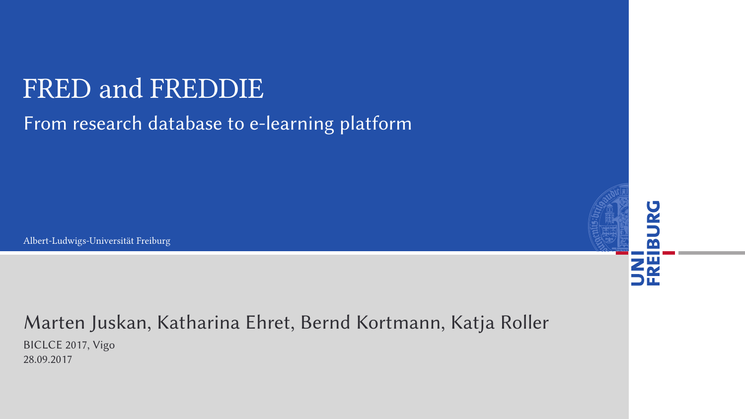#### FRED and FREDDIE

#### From research database to e-learning platform

Albert-Ludwigs-Universität Freiburg

#### Marten Juskan, Katharina Ehret, Bernd Kortmann, Katja Roller

ō

BICLCE 2017, Vigo 28.09.2017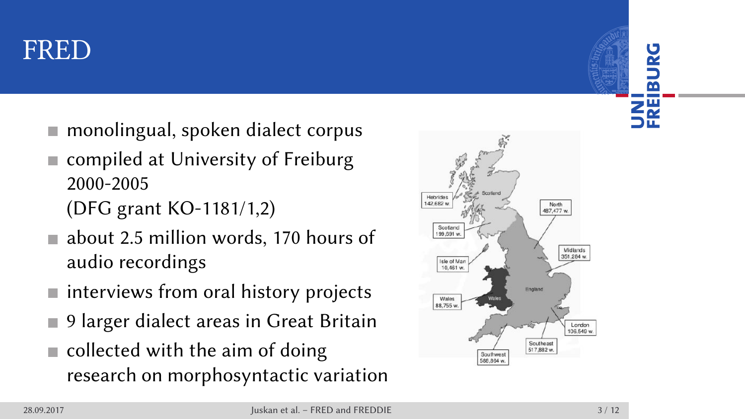#### FRED

- monolingual, spoken dialect corpus
- compiled at University of Freiburg 2000-2005
	- (DFG grant KO-1181/1,2)
- about 2.5 million words, 170 hours of audio recordings
- $\blacksquare$  interviews from oral history projects
- 9 larger dialect areas in Great Britain
- collected with the aim of doing research on morphosyntactic variation



UNI<br>FREIBURG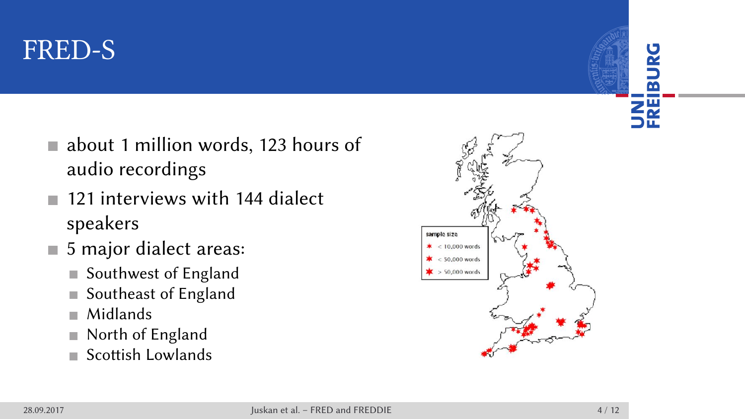#### FRED-S

- about 1 million words, 123 hours of audio recordings
- 121 interviews with 144 dialect speakers
- 5 major dialect areas:
	- Southwest of England
	- Southeast of England
	- Midlands
	- North of England
	- Scottish Lowlands

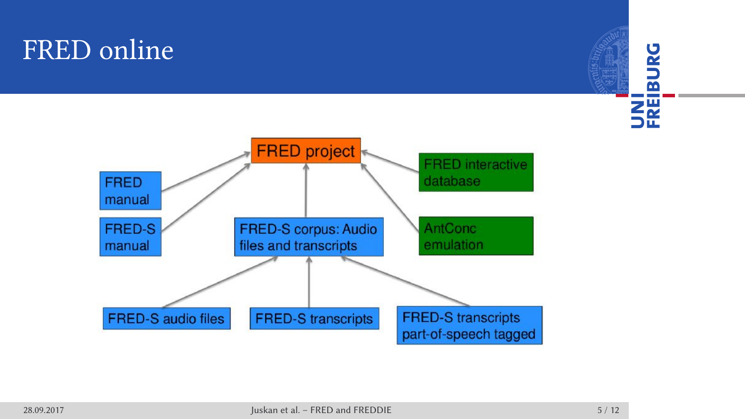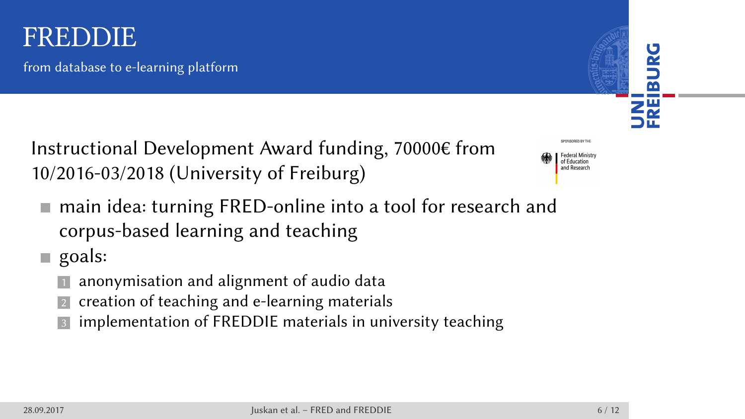#### FREDDIE UNI<br>FREIBURG from database to e-learning platform Instructional Development Award funding, 70000€ from Federal Minist 10/2016-03/2018 (University of Freiburg) ■ main idea: turning FRED-online into a tool for research and corpus-based learning and teaching goals: 11 anonymisation and alignment of audio data 2 creation of teaching and e-learning materials **3** implementation of FREDDIE materials in university teaching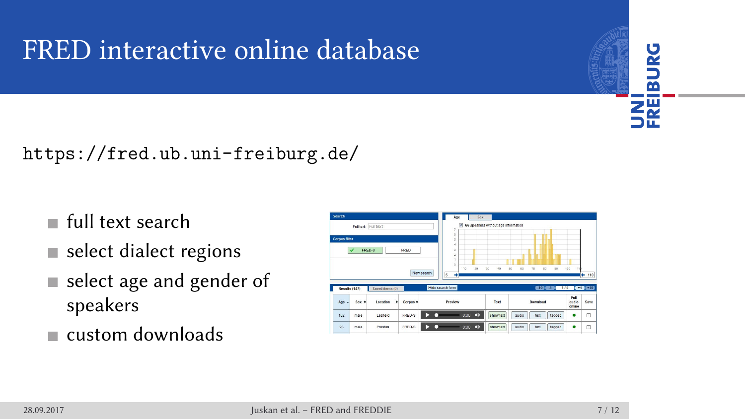# FRED interactive online database



https://fred.ub.uni-freiburg.de/

- full text search
- $\blacksquare$ <br/>select dialect regions
- select age and gender of speakers
- custom downloads

| Search             |                            |                 |               |            | Ase              |           | <b>Sex</b> |                                         |          |          |                         |                         |             |
|--------------------|----------------------------|-----------------|---------------|------------|------------------|-----------|------------|-----------------------------------------|----------|----------|-------------------------|-------------------------|-------------|
|                    | <b>Full text</b> Full text |                 |               |            | ×                |           |            | [7] 66 speakers without age information |          |          |                         |                         |             |
| <b>Corpus 100m</b> |                            |                 |               |            | ö.<br>ó          |           |            |                                         |          |          |                         |                         |             |
|                    | FRED 6                     |                 | <b>FRED</b>   |            | ×<br>ä<br>ż      |           |            |                                         |          |          |                         |                         |             |
|                    |                            |                 |               |            | ٠                |           |            |                                         |          | ۰        |                         |                         |             |
|                    |                            |                 |               |            |                  |           |            |                                         |          |          |                         |                         |             |
|                    |                            |                 |               |            | b.               | 10        | 20         | $^{33}$<br>×                            | 60<br>e. | 70       | $^{20}$<br>$\mathbf{v}$ | 100<br>64               |             |
|                    |                            |                 |               | Nyw search | k                |           |            |                                         |          |          |                         |                         | ۰           |
| Results (147)      |                            | Saved items (0) |               |            | Hide search form |           |            |                                         |          |          | 610 610                 | $1/5$ $-1$ $-1$ $-10$   |             |
| Age -              | Sex o                      | Location        | Corpus ¢<br>٠ |            | Preview          |           |            | Text                                    |          | Download |                         | Full<br>audio.<br>osine | 110<br>Save |
| 102                | mate                       | Leaters         | <b>FRED-S</b> |            |                  | $-\infty$ | <b>CB</b>  | abow last                               | audo     | test     | tegged                  |                         | α           |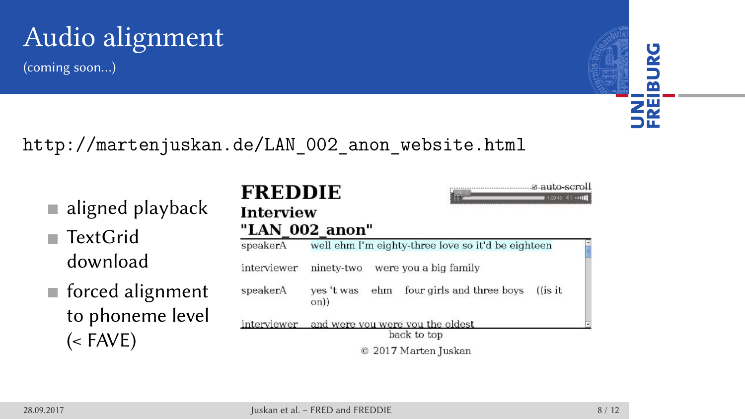# Audio alignment

(coming soon…)

**UNI**<br>FREIBURG

http://martenjuskan.de/LAN\_002\_anon\_website.html

- TextGrid download
- forced alignment to phoneme level (< FAVE)

aligned playback

| <b>FREDDIE</b><br>Interview | 1:00.43                                                            |  |
|-----------------------------|--------------------------------------------------------------------|--|
|                             | "LAN 002 anon"                                                     |  |
| speakerA                    | well ehm I'm eighty-three love so it'd be eighteen                 |  |
| interviewer                 | ninety-two<br>were you a big family                                |  |
| speakerA                    | four girls and three boys<br>ehm<br>ves 't was<br>$($ is it<br>on) |  |
|                             | interviewer and were you were you the oldest                       |  |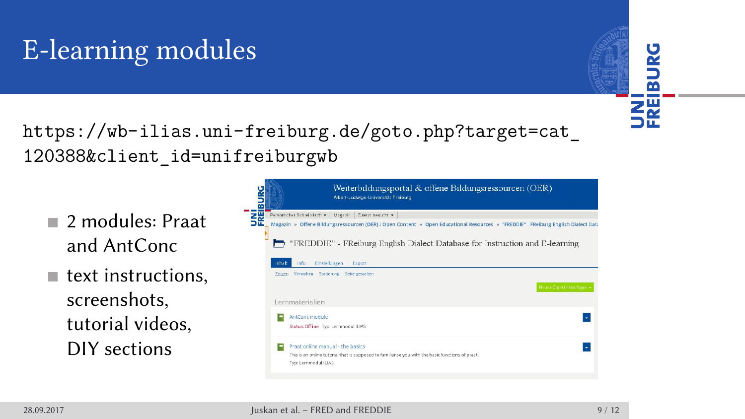### E-learning modules



https://wb-ilias.uni-freiburg.de/goto.php?target=cat\_ 120388&client\_id=unifreiburgwb

- 2 modules: Praat and AntConc
- $\blacksquare$  text instructions, screenshots, tutorial videos, DIY sections

|                       | Weiterbildungsportal & offene Bildungsressourcen (OEK)<br>Albert-Ludwigs-Universität Freiburg                                                                                                                     |                           |
|-----------------------|-------------------------------------------------------------------------------------------------------------------------------------------------------------------------------------------------------------------|---------------------------|
|                       | Persönlicher Schreibtisch +   Magazin   Zuletzt besucht +                                                                                                                                                         |                           |
|                       | Magazin » Offene Bildungsressourcen (OER) / Open Content » Open Educational Resources » 'FREDDIE" - FReiburg English Dialect Data<br>"FREDDIE" - FReiburg English Dialect Database for Instruction and E-learning |                           |
| <b>Inhalt</b><br>Info | <b>Einstellungen</b><br>Export<br>Zeigen Verwalten Sortterung Seite gestalten                                                                                                                                     | Noues Objekt hinzufügen + |
|                       |                                                                                                                                                                                                                   |                           |
| Lernmaterialien       |                                                                                                                                                                                                                   |                           |
| AntConc module        | Status: Offline Typ: Lernmodul ILIAS                                                                                                                                                                              | $\bullet$                 |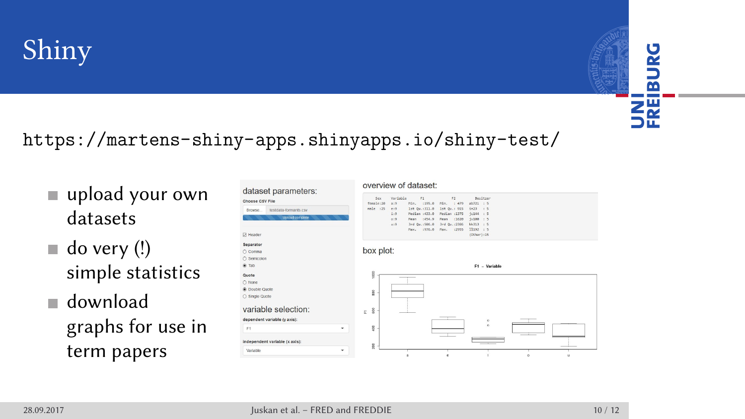# Shiny

**UNILITY** 

https://martens-shiny-apps.shinyapps.io/shiny-test/

- upload your own datasets
- do very (!) simple statistics
- download graphs for use in term papers

| dataset parameters:              |   | overview of dataset:                                                                                   |  |  |  |  |  |  |
|----------------------------------|---|--------------------------------------------------------------------------------------------------------|--|--|--|--|--|--|
| Choose CSV File                  |   | Variable<br>Sesitoer<br>r1<br>12<br>Sex.<br>female:20<br>a:9<br>Min. :195.0<br>Min. : 479<br>ab721 : 5 |  |  |  |  |  |  |
| testdata-formants.csv<br>Browse. |   | $mle$ $125$<br>1st 0s. : 311.0<br>1st Que 915<br>$1n23$ : 5<br>e:2                                     |  |  |  |  |  |  |
| Uploud complete                  |   | Median :433.0<br>Median :1575<br>fc144 : 5<br>1:2                                                      |  |  |  |  |  |  |
|                                  |   | Nean (454.9)<br>Mean +1620<br>1v100 / 5<br>019<br>3rd Qu.: 506.0<br>3rd 0u. : 2306<br>RR313 : 5<br>0:9 |  |  |  |  |  |  |
|                                  |   | 1976.0<br>Max. : 2955<br>11192 : 5<br>Nasc.                                                            |  |  |  |  |  |  |
| F7 Header                        |   | (Other):15                                                                                             |  |  |  |  |  |  |
| Separator                        |   |                                                                                                        |  |  |  |  |  |  |
| O Comma                          |   | box plot:                                                                                              |  |  |  |  |  |  |
| ○ Semicolon                      |   |                                                                                                        |  |  |  |  |  |  |
| ® Tab                            |   | F1 - Variable                                                                                          |  |  |  |  |  |  |
| Quote                            |   | soo                                                                                                    |  |  |  |  |  |  |
| O None                           |   |                                                                                                        |  |  |  |  |  |  |
| C Double Quote                   |   |                                                                                                        |  |  |  |  |  |  |
| ○ Single Quote                   |   | å                                                                                                      |  |  |  |  |  |  |
|                                  |   |                                                                                                        |  |  |  |  |  |  |
| variable selection:              |   | ŝ<br>E.                                                                                                |  |  |  |  |  |  |
| dependent variable (v axis):     |   |                                                                                                        |  |  |  |  |  |  |
|                                  |   | ó<br>- 21<br>ó                                                                                         |  |  |  |  |  |  |
| F1                               | ٠ | g                                                                                                      |  |  |  |  |  |  |
|                                  |   |                                                                                                        |  |  |  |  |  |  |
| independent variable (x axis):   |   | g                                                                                                      |  |  |  |  |  |  |
| Variable                         | ٠ |                                                                                                        |  |  |  |  |  |  |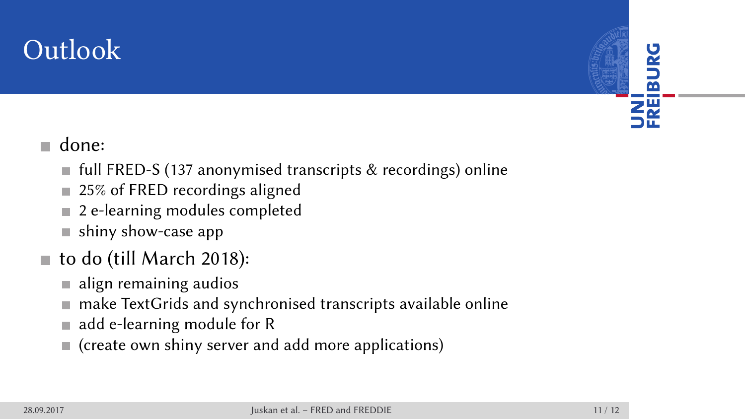## Outlook

UNI<br>FREIBURG

- done:
	- full FRED-S (137 anonymised transcripts & recordings) online
	- 25% of FRED recordings aligned
	- 2 e-learning modules completed
	- shiny show-case app
- to do (till March 2018):
	- $\blacksquare$  align remaining audios
	- make TextGrids and synchronised transcripts available online
	- add e-learning module for R
	- (create own shiny server and add more applications)